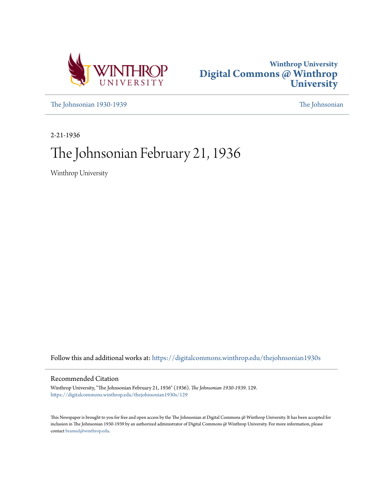



[The Johnsonian 1930-1939](https://digitalcommons.winthrop.edu/thejohnsonian1930s?utm_source=digitalcommons.winthrop.edu%2Fthejohnsonian1930s%2F129&utm_medium=PDF&utm_campaign=PDFCoverPages) [The Johnsonian](https://digitalcommons.winthrop.edu/thejohnsonian_newspaper?utm_source=digitalcommons.winthrop.edu%2Fthejohnsonian1930s%2F129&utm_medium=PDF&utm_campaign=PDFCoverPages)

2-21-1936

# The Johnsonian February 21, 1936

Winthrop University

Follow this and additional works at: [https://digitalcommons.winthrop.edu/thejohnsonian1930s](https://digitalcommons.winthrop.edu/thejohnsonian1930s?utm_source=digitalcommons.winthrop.edu%2Fthejohnsonian1930s%2F129&utm_medium=PDF&utm_campaign=PDFCoverPages)

## Recommended Citation

Winthrop University, "The Johnsonian February 21, 1936" (1936). *The Johnsonian 1930-1939*. 129. [https://digitalcommons.winthrop.edu/thejohnsonian1930s/129](https://digitalcommons.winthrop.edu/thejohnsonian1930s/129?utm_source=digitalcommons.winthrop.edu%2Fthejohnsonian1930s%2F129&utm_medium=PDF&utm_campaign=PDFCoverPages)

This Newspaper is brought to you for free and open access by the The Johnsonian at Digital Commons @ Winthrop University. It has been accepted for inclusion in The Johnsonian 1930-1939 by an authorized administrator of Digital Commons @ Winthrop University. For more information, please contact [bramed@winthrop.edu](mailto:bramed@winthrop.edu).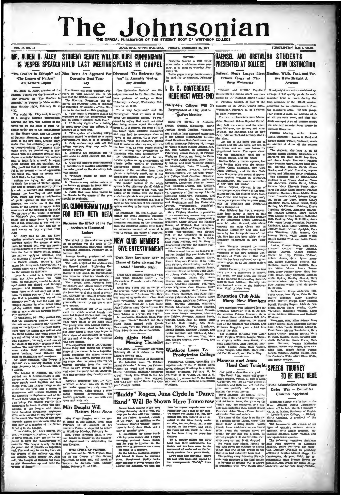# The Johnsonian THE OFFICIAL PUBLICATION OF THE STUDENT BODY OF WINTHROP COLLE

**ROOK HILL, SOUTH CAROLINA.** FRIDAY, FERRILARY 21, 1830

**VOL. 13, NO. 17** 

## MR. ALDEN G. ALLEY STUDENT SENATE WILL DR. BURT CUNNINGHAM IS VESPER SPEAKER HOLD LAST MEETING SPEAKS IN CHAPEL

"The Conflict in Ethiopia" and Nine Items Are Approved For Discussed "The Endocrine Sys "The League of Nations" Are Lecture Topics

Are decelare Topics and the Ure of the Stream of the Street Topics, Network Theories and the Network Control on the Prevention of the Internet of the mass of the Street Are in the Barbara and the street of the street of t

its worth will have to recommend the threshold the price callers in the space of the space of the price of the space of the space of the space of the space of the space of the space of the space of the space of the space

, Alley said he did not know<br>ther sanctions would prevent war.<br>thing against the success of aance<br>the pointed out, were the unwill-<br>cas of nations to sacrifice their manthe fear of Haly's actions used man-<br>the fear of Haly's action against<br>nations applying sanctions, and<br>activities of non-League members, returnities of non-Lengue members,<br>
9 United States, Germany, and<br>
pan. Mr. Alley said, however, that he<br>
paght there was a fifty-fifty chance<br>
the success of sanctian-

for the success of canterions. The lictuing of this giand, Dr. Counting<br>terms of the scale of a world police gave wint be called its "founting<br>force". The soluted of the counter of the called its "found force"<br>force, he c e success of sanctions.<br>
Nr. Alley pointed out. This<br>
Mr. Alley pointed out. This<br>
he contended, should be devel-<br>
he contended, should work through<br>
mic and financial means. The<br>
mic and financial means. The

comp, Petruary is, in Jonnon means of the component of the logical political political political political political political political political political political political political political political political polit Council three times a year. The Length include the half-<br>also bridge the mational replace and with half-<br>endors the burst of the Best The Best of the Mill replace with about **Miss Douglas Will**<br>eight hundred permanent emph

Discussion Next Tuesday

Cunningham, "that we know at least<br>about the endocrine system." He con-<br>timed by saying that there is a great

Lecture

The effect of the endocrine glands<br>on embryology was the topic of Dr.<br>Bert Cunningham's illustrated lecture<br>Wednesday afternoon, Pebruary 19, in Johnson Hall.<br>Prances Mealing, pres

nt of Be Beta Beta, introduced the speaker.<br>The main subject of the address was

to the thyroid gland. Explaining the thyroid gland. Explaining the iddine is necessary for the proper functioning of this gland, Dr. Cumminghar

... $\bullet$ TICE!<br>
Students desiring a 1936 Tatlet<br>
must make a minimum down payment of 50 cents by Tuesday, Fabricary<br>
runry 25. ruary 2 ury 20.<br>Tatler pages or organization<br>Paid for by Saturday, Pe 'em" in Assembly Wednes- $\frac{34}{29}$ day Morning "The Endocrine System" was the

ity, in chapel, Wednesday, Feb "It is very important," said Dr

**Castera Meeting** 

 $\begin{bmatrix} \mathbf{c} & \mathbf{r} & \mathbf{r} \mathbf{c} & \mathbf{r} \mathbf{c} \end{bmatrix}$  and minimization, the formula intervelse property and the property and the compact of the studies of the studies of the studies in that is the studies of the studies o

## Manners and Ames

**How good a detective are you?**<br>
"The Death Kiss," which will be pre-<br>
sented to<br>calgive, Priday, at 7:30 in Main Auditorium, will test all your powers of<br>
deduction, and then you will find that<br>
deduction, and then you w

decision. and then you will find that  $\frac{1}{2}$  South Atlantic Conference Plans<br>
space when you that go a case. Under Way — Counnitte<br>
signist the worse probably built up a case. Under Way — Committee<br>
investigate the mat

**SUBSCRIPTION, SLAB A VEAR** 

## HAENSEL AND GRETAL 98 STUDENTS **EARN DISTINCTION** National Music League Gives Mealing, Whife, Fant, and Tur-

ner Have Straight A Average

Ninety-eight students maintain concerned by the National Music League accuracy of 2.50 quality points for each at Winthrop College, as one of the first semester of the 1925-36 s urse series, according to an an Wednesday, February 19, at 8 o'clock, the registrer's office. Of this groun. four students made an average of A circ. Haensel: Selma Botalad, Oretal: dents averaged A on all courses except ter hour o Physical Education.

Prances Mealing, amior: Anni more; Louise M. Fant and Maude Minter Turner, freshme en, made

contents and or the state. The total and Amenine and Amenine and the former and act three, better the fifth content about a single proper line and Amenine accepts Physical Education are the Hamman and Amenine accepts Phys taken.<br>The students who he

C. Zeigher. .<br> Signarion, Brigga Anderson, Elisabeth Crum, Jean a<br/>Pyrn, Kate Bardin, Evityn Elisabeth Crum, Helingy Empirishment Portel, Millers Principal Pyrs, Adeliade Bea<br/>Britishment Portel, Conterior Conterior

White, Melissa Williams, and many Mary Elion Adams, Mary Elion Adams, Mary Elionic Uniter States (Ming-Innu, Sarah Matsine Panderlebuck, Mary Lubis (Ming-Innu, Sarah Matsine Panderlebuck, Mary Lubis (Ming-Innus Lubis (Ming

## Head Cast Tonight SPEECH TOURNEY TO BE HELD HERE

### South Atlantic Conference Pla Under Way - Committee

cha channels. The consequence in the girls'<br>
band lose their instruments, but Bonday and the beys come to the<br>
Bonday and the beys come to the two<br>
Bonday cambias for a granul finale.<br>
Davant combine for a granul finale.<br>
Dav

I. R. C. CONFERENCE "Haensel and Gretal." Engelbert **HERE NEXT WEEK-END** Thirty-Five Colleges Will Be Represented at Big Southin Main Auditorium

PRESENTED AT COLLEGE

Famous Opera at Win-

throp Wednesday

The cast of chara

Winthrop Loses To February 20, at 5 o'clock to Curry<br>Literary Soulety Hall.

**Presbyterian College** 

Example of the Million of the Million of the Million of the Million of the property on the following topic, "A Thirten of Presbyterian College, upholding the Presbyterial Colembar," Jenal Lee Dislow: inexative side of the

face he claims acquaintance and the aixed to her the<br>a taxel to her the aixed of the where Pai leaves him flat. Here<br>plants has been injected in an ac-leader<br>plants how the claim of the solar claim and  $\alpha$  and<br> $\alpha$  and be has been trying to queer he

(and this secretary constant that Dr. Cur-<br>
angle of the of Hardenber Cop-<br>
angle of Hardenber Cop-<br>
angle angles and The Lust at the character of Hardenberg Cop-<br>
intervention and the secret of the secret of the secret of

Band" Will Be Shot College and coming to Winkins<br>College Standary of Winkins<br>College Standary slight at 7:38 will<br>and the faster with fan, fearmed,<br>and the faster, feaning continues of the real in addition to the real<br>band

girl friend is there to welcom away and sees a pretty w

Zeta Alpha met Thursday aft

### ubject discussed by Dr. Bert Cunning ham, professor of soology at Duke

ruary 19, at 12:30.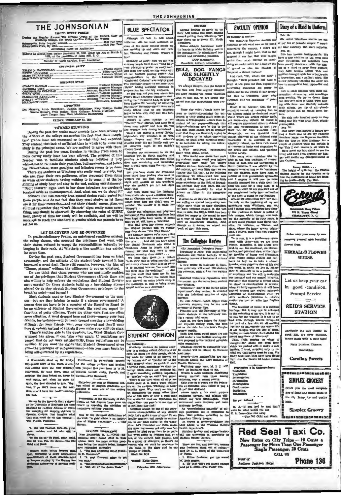## THE JOHNSONIAN

ISSUED EVERY FRIDAY<br>During the Regular System The Official Organ of the St<br>Winthrop College, The South Carolina College for W 41.00 Per Ye ription Price (regular ses<br>ription Price, By Mall....

Advertising Rates on Appl red as second-class matter November 21, 1923, under the Act of March 1879, at the postoffice in Rock Hill, S. G.

ber of South Carolina Press As  $\overline{\phantom{a}}$ 

|                                                                      | Editor-In-Chief  |
|----------------------------------------------------------------------|------------------|
| <b>BUSINESS STAFF</b>                                                |                  |
| <b>SVALYN HANNAH.</b><br>Assistant Business Manager<br>PATRICIA WISE | Business Manager |

**INENIUSE<br>LIZABETH KERHULAS<br>VELYN JOHNSON<br>VELYN JOHNSON REPORTERS** 

BEPORTERS<br>Manning, Annie Rosenblum, Virginia McKeithen, Mary Phillips, Hatti<br>Oreene Stewart, Finih Bethes, Mary Galloan, Lorena Galloway,<br>Jessie Trague, Jean Most, Madeleine Haynsworth

## CRIDAY, FERRIARY 21, 1920

### **TOWARD STUDYING**

During the past few weeks many parents have been writing to the officers of the college concerning the fact that their daughthe officers of the college concerning the last their hand aspected.<br>They contend that hack of sufficient time in which to be slone and<br>study is the principal cause. We are inclined to agree with them.

study is the principal cause. We are intention to agree wint further pound to move of this more and the propose of this freedom was to facilitate students studying together if they what freedom was to facilitate tudents st

shows are students on methods of the prevented from doing<br>so when other students having nothing to do come in at the be-<br>ginning of study hour and stay to the end, seeking entertainment. 'Don't Disturh" signs used to bar these intruders are carelessly

"Don't Disturb" signs used to bar these nurteuers are carrenessy bath and be bruined aside as inconsequential. And, what can we do about it?<br>Abhason Esll has recently been opened during study period for: It has people who use is not member that "Don't Disturb" signs really mean some-<br>sill must remember that "Don't Disturb" signs really mean some-<br>thing, and should be observed. By observing the rules of QUIET<br>hour, plenty of time for study w

### LET US GOVERN AND BE GOVERNED

In pre-Revolutionary France, an unbalanced condition existed:<br>the ruling classes, who accepted the privileges that went with<br>their status, refused to accept the responsibilities naturally be-<br>longing to their rank. At Wint me time.

Dyring the past year, Student Government has been on trial, apparently; and the attitude of the student body toward it has<br>improved a great deal. There still remains, however, the idea of

improved a great deal. There stu remains, nowever, the idea or "Gimme, gimme," without the willingness to put up collateral. Do you think that those persons who are continually making use of the privileges that Student Ed phere? Or do they stretch Student Government privileges to the special m breaking point-and beyond?

Most students want to keep Student Government on the cam at are they helping to make it a strong government? person does not have to be a member of the Executive Board to be an enforcer of Student Government. She need not report in-<br>fractions of petty offenses. There are other ways that are often fractio nications to presp virtualized. There are visit ways use are other<br>more affective. A word dropped here and there—anong your best<br>friends, for instance—will do much toward creating a law-abiding<br>atitlinde; for your friends

There's another side to the question, too. What Student Gov There s anomer suse to the question, too. What Student Government has given, it can take away again. If regulations are passed that do not work astisfactorily, those regulations can be mullified. If you want the rights tha

nan stood on the bridge Enrollment in Haverfords' course A 80 a communication of the water. A con- for the college jamitom and hitches in<br>the gazing down at the water. A con- for the college jamitom and hitches<br>with coming down the river suddenly men jumped this year from 11 to 25.<br>o arned. He went down, came to support. The Gamecock.

eer with."<br>3. "Eill Bruno"<br>4. "Get rid of

in, and when ha came up again, the Scot ahouted to him, "Say, mon, if ye don't come up the next time, may 1 have the boat?"-Annap-Los.

We see by the Rotanda that a doctor at the University of Kentucky has been<br>the highed by re-Sing Alfanso of Spatia for stamping out alephing elchness in<br>for stamping out alephing elchness in the canonic Outgan. Just imagi

To the Old Pashion Cirl-Be good.<br>weet maiden, and let who will be SERIOUS PROBLEMS?<br>New Brunswick, N. J.--(OPA)--524-<br>xaldronl note: Asked what in their<br>spinion were the most serious prob-<br>ens facing the country today, Rudgers

Oo-ed-250 good, se<br>ho will. Be clever,

en make better lawyers than<br>coording to every comparative<br>ement of those characteristics<br>was studied by the Fluxuan Eu-

**BLUE SPECTATOR** it's late to talk about  $\mathbf{A}$ initiation, still we must comm  $at$   $\alpha$ me of the queer looking people we day and Priday. Wa Thurs

Impy of plays-now we see why<br>speaking of plays-now we see why<br>speaking poster on every wall lead<br>and then how could we stay away with<br>all our teachers playing parts?--And<br>all our teachers playing parts?--And<br>computations t computations to the Maceuser-<br>
The Baseborn-<br>
Capid and Galories" was mighty good. DECAYED<br>
The Special one can be always thought that the fangs of<br>
The Special control of the baseborn of the most better reading the way.

"Dance Band." Imagine our amazement to see the "magine our amazement to see the punking on the downtown post office door and wondering on the downtown post office why it won't open when the aign reads "Pull"!

Way in two top and the Preshman<br>Tom third floor Roddey who went to Vespers for the first time Sunday<br>from third floor Roddey who went to<br>signify such an first time Sunday<br>why show conditions and wondered<br>show that.<br>And the

letters from boys also didn't even re-<br>poseer in the model of the model of the model of the model of the model<br>of the model of the model of the model of the model of the model of<br>the host based and conduct the model of th



## STUDENT OPINION

Dot Man

nthrop stur

Sixty-two per cent of Simmons Col-<br>leps school of English graduates are<br>engaged in some one of the writing<br>professions.

Fraternities at the University of California at Les Angeles have gone on<br>record as opposing the abulition of compulsory multary training. 

Det Maaming antstehet is posses over the symbol and the posses over the two control of the symbol of the symbol of the symbol of the symbol and the symbol of the symbol of the symbol of the symbol of the symbol of the sym

on facing the country of residence on the halls, as one of friends and of Frank- groups of friends 1. "The task of getting rid of Frank-<br>tn D. Rocorrelt."<br>2. "A good five-omt piece to get

 $-\pi$ 

### Tagged: Kalle Ochan,

Patronise Our Ad

NOTICE!<br>Anyone desiring to check up c<br>thetr first tensus and apext sessor. toward getting their Winkhrop "W<br>nay check up in Room 131, North Commission builds in boards in Main Building and in<br>the symmatium  $\sim$ <br> $^{11}$  Mod

n for a symnasius<br>ball and st DOT MA  $P_{T}$ nt. Atl letic A

**BULL DOG FANGS<br>ARE SLIGHTLY** 

**DECAYED** 

ity as technical by asking the follow<br>ling questions:<br>1. Who mentioned appearance<br>first? THE BULL DOG.

first? THE BULL DOG.<br>3. Who would over guess that such<br>big statwart males would over believe<br>everything thay read? We believe big statuent make wealth ever believe by the statuent matching we need to consider a consider the distance of the distance of the distance of the distance of the consideration of the construction of the construction of th

**The Collegiate Review** (By Associated Collegiate Press)<br>Beginning in June, Tale engineering<br>graduates will receive bachelor of engineering instead of bachelor of science

degrees.<br>
A new course in marriage at Syra-cuse university will enroll 130 students<br>
this semester, with 415 on the wattive,

Stanford University regul ns keep

Standard University regulations keep<br>the nearest bar five miles from student<br>beer-drinkers.<br>"Schiannel," star of the Berlin police communer," star of the Berlin police<br>department's dog section, is credited<br>with the individual solution of eight<br>murders.

sure the moment of the control of the Carl Commission of the Control University student, may be the next Protection of the form of the full control of the full control of the full control of the control of the control of t

explore regards. The state of the state of the state of the state of the state of the state of the state of the mational collegiate sum proposed to the national collegiate uses committee.

ate courses in automobile<br>rol will be offered by H

c County<br>ext year.<br>Seventy-three nationalities are rep-<br>sented among the 6,000 students at<br>Sonton University.<br>Notionality next year, M. I. T. will

resence an<br>ang the 8,000 students at Boston University. The spin and the stress, M. I. T. will use<br>in the first manner centrality distributed in the same result is a<br>smore result in the same centrality distributed because meas and and .<br>ay Yale physiologists. 7<br>nd more frequent and r inum<br>uy, say Yamour<br>mend mor

 $An<sup>-1</sup>$ 

ne majority" of col iege professors are in opg<br>New Deal policies, accordi to ing to the American Liberty League.

An expert in Neuro-psychiatry has been added to the Williams College<br>health department.<br>Amateur hockey and college basicst

all are incres ng in pop Square O

There are two, and just two, reacon<br>why freahmen flunk out of college-<br>says Dr. L. L. Clark of the University<br>of Trius.

寰 they don't get sev

**FACULTY OPINION** 

Diary of a Maid in Uniform

ske.<br>Life is made hideous with their ca

Summy South . . .<br>The height of optimism: the Florida<br>tudent musing by the fireside as to<br>now the mosquitoes at home are freening to death-Dally Tay Heel.

ckerdi

**Me Draw Pri** 128 N. Tryon Street<br>CHARLOTTE, N. C.

Drive away your cares by a ding yourself with be

**KIMBALL'S FLOWER** 

**HOUSE** 

Let us keep your car in good condition.

**Prompt Service** 

**REID'S SERVICE** 

**STATION** 

Absolutely the best cutsine in

 $\rlap{.}^{\circ}$ 

 $\ddot{\cdot}$ 

t,

 $\overline{\phantom{a}}$ 

۰

 $\rlap{-}$ 

Rock Hill. We serve delici

Plate Lymches, Dinne

**Carolina Sweets** 

**SIMPLEX GROCERY** 

line of fresh and staple goods in

the city. Prices low and quality

**Simplex Grocery** 

Phone 136

THE COMPANY OF COMPANY OF

Offers you the most co

hlah.

**Red Seal Taxi Co.** 

New Rates on City Trips - 10 Cents a<br>Passenger for More Than One Passenger<br>Single Passenger, 20 Cents

CALL US

185000000000000

ng to d

finger<br>then<br>play-

Life is made hideous with the<br>greating, struzming, and one-<br>peck-pecking. We try to drown<br>out, but they seem to think we've<br>ing with them, and gleafully resp<br>their efforts. On top of all-<br>study-period and no escape from

Peb. 14:

Six comic vale

### $Dr E$ er B. S

The Inquiring Reporter stopped m The inquiring Reporter stopped me  $\sim$  comic valentiales startle me out attached startle me out what was on my mind of my life of peaceful stapor. I screen concerning the campun. I didn't tell my hair carefully and start causes we was respectively. If then the law has reachedly and start reducing.<br>
neutroning the camput I didn't tell my haar carefully and start reducing.<br>
moment it was fact that were caught that the room neutroning measur of gravel to give our filoughs of

trust to the good old Sun, apparently<br>recovering somewhat his power to shine, and to the weight of our tramping feet to transform those miry stretches into the semblance of paths

Ing feet to transform lines in<br>The latter and the semblance of paths and interaction of paths and<br>the reduction of paths and  $\alpha$  and<br> $\alpha$  is a could it be, however, that the reduction<br>out of the semblance of paths and ou

study-period and no escape areas well that we set<br>we study-period and no escape areas well we study with Irish Rose, plus<br>here, if the plus better plus in the plus of the plus of the state of<br>the state of the state of the

del cadets), and way bittle that we see recently revealed bits on its "carbone". In the same of the states in the new defined bits on its "cannot that the new define the same of the state of the state and the state of the

Many, where the honor system of the<br>main will have the honor system of the signal and the control of the<br>main way. Here the honor system of given and two and the angular control<br>in the large system of the signal of the sy

nel v u that s any deys zu w. kit hleh

n flyir over the vacant lot beside Jo Hall h

ur of

And

**7 Jackson Hotel** 

Investigation **Jubiletion** 

ä Do you follow?

 $\begin{tabular}{ll} E. & A--H & you had to and did not want to, what would you do?\\ E. & A. Lam--Gire one away. & —The Old Gold and Black. \\ \end{tabular}$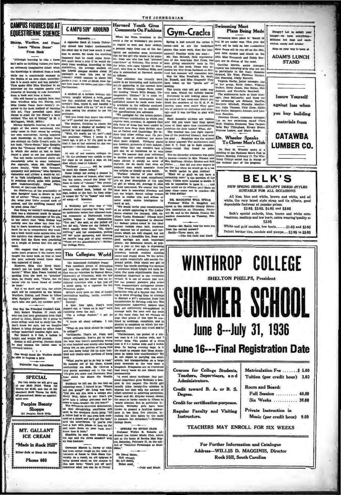## **CAMPUS FIGURES DIG AT EQUESTRIENNE SCIENCE**

Although learning to rise a horse discovery that be could ent<br>or flucted in green and the starting (unless year although the model that a<br>figure  $\sim$  may quite as thritting (unless you have stain from a<br>modula a control b  $m \cdot b$ 

Miss Louise Pe served to the book method of learning<br>this art. They prevailed upon Miss<br>Dacus to order for the library a book<br>entitled server

soleted to the book method on remains a note asking the student to see true. Denote the the library a book production of the finite contributed with a studied with the studied with the contribution of the studied with a m

One Hoy the Friedry<br>Mark Robert Wadlew, it years old F Earn Robert Wadlew, it years old F<br>hood in Alton, Dimou. He is going to 10 and the choice of the<br>choice in the state of the state of the state of the state of the<br>stat

would think Mr. Wa

ronise Our Adv

**SPECIAL** 

two weeks we will give one are \$5.50 Nutri Toms of our \$5.00, and one of our art \$5.00, and one of \$3.50; **JI** guar

> **Peoples Beauty** Shoppe 211 Peoples Bank Bldg

MT. GALLANT

**ICE CREAM** 

"Made in Rock Hill" or Block for 1

Phone 660

 $\overline{a}$ 

**CAMPUSIN' AROUND** 



is, he said, were clamped on<br>and the rivets smaabed with

is legs and the riv

to we<br>may be a matter rough on the state allows are the rough on the state allows<br>the state of funds to Ohlo State Unit.<br>Firstly, As a result, an old epigram is<br>being passed about on the campus in<br>this new form: "Don't put

**Harvard Youth Gives Comments On Fashi** 

THE JOHNSONIAN

When the News bro  $\pm$  to the

**UP ANTERIOR SECTION TO A CONSULTER THE CONSULTER THE CONSULTER THE CONSULTER THE CONSULTER THE CONSULTER THE CONSULTER THE CONSULTER THE CONSULTER THE CONSULTER THE CONSULTER THE CONSULTER THE CONSULTER THE CONSULTER THE** 

ve succession of the brown-jacket-<br>
linemic conducts and the method of the formulation in the method of the frequency counterparties and a rest in<br>
form of dress has been copied by some of their spare time embroidering lik gray-tro grapheness angle averables. It appears that are: then their space distinguished express angle average of policing the Hammar Hammar Hammar in the main of the predicted bination of the method and Canadian at Caroline was j

Except: A deer flew open, Husby's head sophisticated apparently with popper out. A "come on in boyi" work liney are sufficiently accompled on the cumulation of the comparison of the comparison of the comparison of the com an and the tra  $\overline{u}$ further. The company statement is now the property of this type be companied to this type be companied to weddings, receptions, and

ran a courge student." I got no say are that by earne time, but the same time, but the spectra of points. The first operation of the spectra of a thin the spectra of the spectra of the spectra of the spectra of the spectr

met at the home of Bertha Mae Rogers, Ba rday, Pe Pebruary 15, on the sub-<br>cal Personages as Musiject of "Nati<br>clans."

 $Re \geq$ d Helen, He lave Helen

Gym-Cracks

The weather was just right regard-<br>less of the predicted blizzard. And went



All blue, blue and white, brown and white, and all<br>white, the very latest style strap and tie effects, good dependable footwear at popular prices.

\$2.95, \$3.95, \$4.95 and \$5.95 Belk's special oxfords, blue, brown and white com-<br>binations, medium and low heels, extra wearing quality at

 $$2.95$ White and gold sandals, low heels....... \$1.95 and \$2.95

Patent leather ties, sandals and pumps... \$2.95 to \$5.95



**Rock Hill, South Carolina** 

**Plans Being Made** Swimming Mack plans for March 19 **delle** 

 $\overline{ }$ 

py? Let us a

we have every

anty yo

**Swimming Meet** 

d Mai<br>d Mai nary<br>1971

**To Clover Men's Club** ul M. Wheeler spok

Dr. Wheeler Speaks

ous hot dogs and mandady and drin Stop on your way to town at **ADAM'S LUNCH STAND Insure Yourself** against loss when you buy building materials from **CATAWBA LUMBER CO. BELK'S** NEW SPRING SHOES-SNAPPY DRESS STYLES SUITABLE FOR ALL OCCASIONS